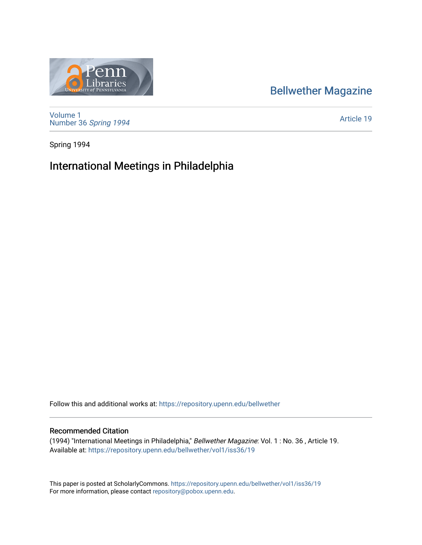## [Bellwether Magazine](https://repository.upenn.edu/bellwether)



[Volume 1](https://repository.upenn.edu/bellwether/vol1) [Number 36](https://repository.upenn.edu/bellwether/vol1/iss36) Spring 1994

[Article 19](https://repository.upenn.edu/bellwether/vol1/iss36/19) 

Spring 1994

# International Meetings in Philadelphia

Follow this and additional works at: [https://repository.upenn.edu/bellwether](https://repository.upenn.edu/bellwether?utm_source=repository.upenn.edu%2Fbellwether%2Fvol1%2Fiss36%2F19&utm_medium=PDF&utm_campaign=PDFCoverPages) 

#### Recommended Citation

(1994) "International Meetings in Philadelphia," Bellwether Magazine: Vol. 1 : No. 36 , Article 19. Available at: [https://repository.upenn.edu/bellwether/vol1/iss36/19](https://repository.upenn.edu/bellwether/vol1/iss36/19?utm_source=repository.upenn.edu%2Fbellwether%2Fvol1%2Fiss36%2F19&utm_medium=PDF&utm_campaign=PDFCoverPages) 

This paper is posted at ScholarlyCommons.<https://repository.upenn.edu/bellwether/vol1/iss36/19> For more information, please contact [repository@pobox.upenn.edu.](mailto:repository@pobox.upenn.edu)